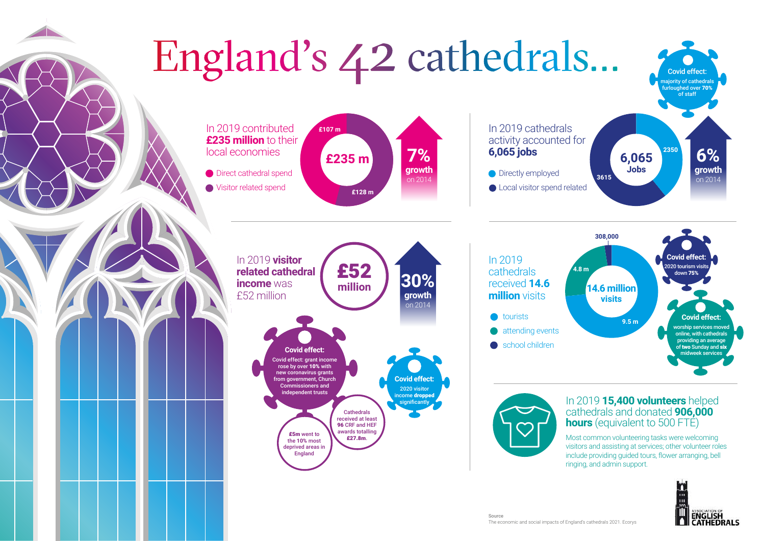

The economic and social impacts of England's cathedrals 2021. Ecorys

Source